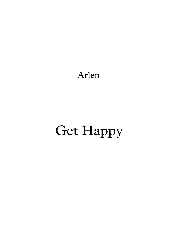Arlen

## Get Happy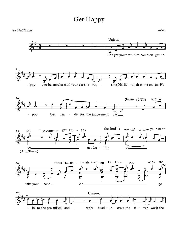## Get Happy

## For-get yourtrou-bles come on get ha - ppy you be-tterchase all your cares a way\_\_\_ sing Ha-lle - lu-jah come on get Ha *6* - ppy Get rea - dy for the judge-ment day (bass/sop) The sun is *<sup>10</sup>* shi oo (Alto/Tenor) i ning come on get Ha - ppy get ha - ppy the lord is wai tin' oo to take your hand *13* take your hand 16 shout Ha-lle - <sup>lu</sup> - jah come on Get Ha - ppy We're go-Ah go - in' to the pro-mised land we're head - in cross the ri - ver wash the *19*  $6 + 4$  -# # <sup>∑</sup> <sup>∑</sup> <sup>∑</sup> Unison arr.Huff/Lusty Arlen  $\bigoplus^{\tau}$  .  $\longrightarrow$ # # & #<br># #  $\overset{\bullet}{\circ}$  $#$   $\rightarrow$ <u># d'a noted de la de la de la de la de la de la de la de la de la de la de la de la de la de la de la de la de</u>  $\overset{\text{\tiny def}}{\diamond}$ #  $\frac{1}{x}$  not the  $\frac{1}{x}$  not the  $\frac{1}{x}$  not the  $\frac{1}{x}$  not the  $\frac{1}{x}$  not the  $\frac{1}{x}$  $\Phi$ <sup>\*</sup>  $\frac{1}{4}$  $\frac{1}{1}$ Unison.  $\overline{y}$  $\vec{e}$ j œ enti de la composición de la composición de la composición de la composición de la composición de la composici<br>En la composición de la composición de la composición de la composición de la composición de la composición de  $\overrightarrow{a}$  $\overline{\phantom{0}}$ œ œ  $\overline{\phantom{0}}$  $\bullet$   $\bullet$ œ  $\frac{1}{2}$  . 7  $\overline{\phantom{0}}$  $\bullet$   $\bullet$   $\bullet$   $\bullet$  $\vec{e}$  $j \rightarrow e$  $\overrightarrow{e}$  $\overline{\phantom{0}}$ — Дружина Северна II се на 1914 година и 1914 година 1914 година 1914 година 1914 година 1914 година 1914 годи<br>Настана Михаиле Северна и Северна 1914 година 1922 година 1922 година 1922 година 1922 година 1922 година 192<br>  $\overline{\phantom{0}}$  $\bullet$   $\bullet$   $\bullet$   $\bullet$   $\bullet$   $\bullet$  $\frac{1}{\sqrt{2}}$ sing Ha-lle - lu-jah come on get Ha  $j \leftrightarrow k$  $\overrightarrow{a}$ e de la p  $\overline{\phantom{0}}$ — <del>дата с</del>  $\overline{\phantom{0}}$  $\bullet$   $\bullet$ œ  $\frac{1}{2}$  d.  $\overline{\phantom{0}}$  $\bullet$   $\bullet$   $\bullet$   $\bullet$   $\bullet$   $\bullet$   $\bullet$  $\frac{1}{2}$ œ **■** ● #● ● ● ●  $\overline{)}$  $\begin{array}{c} \begin{array}{c} \bullet \\ \bullet \end{array} \end{array}$  $\overline{\phantom{0}}$  $\overline{\phi}$   $\overline{\phi}$   $\overline{\phi}$  $\frac{1}{\sqrt{2}}$  $\rightarrow$  $j \neq 0$ œ  $\frac{1}{\rho}$  $\rightarrow$  $\frac{1}{2}$ e e e e e  $\frac{1}{2}$ e e e<br>Refe  $\frac{1}{2}$   $\frac{1}{2}$   $\frac{1}{2}$   $\frac{1}{2}$  $\frac{\partial}{\partial t}$ <sup>j</sup> <sup>œ</sup>™ <sup>œ</sup> <sup>œ</sup> ‰  $\overrightarrow{y}$ <sup>œ</sup>™ <sup>œ</sup>  $j_{\rm e}$  ,  $j_{\rm e}$  $\frac{1}{\rho}$  $\rightarrow$  $\frac{1}{\sqrt{2}}$  $\frac{1}{2}$  $\overrightarrow{a}$  $\circ$   $\bullet$  $\frac{1}{\sqrt{2}}$  $\frac{1}{2}$ æ<br>B P  $\overline{\sigma}$  e  $\overline{\sigma}$  e  $\overline{\sigma}$  $\frac{1}{2}$   $\frac{1}{2}$  $\frac{1}{\sqrt{2}}$  $\begin{array}{c} \longrightarrow \\ \uparrow \\ \uparrow \end{array}$  $\rightarrow$   $\bullet$   $\rightarrow$  $\bullet$  $\frac{1}{2}$  $\frac{1}{9}$  $\rightarrow$  $\left\langle \frac{1}{\sqrt{2}}\right\rangle$  $\frac{1}{2}$  $\frac{1}{\bullet}$ . œ™  $\overline{\phantom{a}}$ <u>end</u> æææ<br>ææ  $\frac{1}{\sqrt{2}}$  $\sum_{i=1}^{n}$ <mark>∂' d'</mark><br>P  $\overline{P}$ . ™ œ  $\begin{array}{c} \text{PPY} \\ \hline \bullet \bullet \bullet \bullet \bullet \end{array}$  $\frac{1}{\sqrt{2}}$  $\sum_{i=1}^n\sum_{j=1}^{n}$  $\frac{1}{2}$ . œ™  $\frac{1}{\alpha}$   $\frac{1}{\alpha}$   $\frac{1}{\alpha}$   $\frac{1}{\alpha}$   $\frac{1}{\alpha}$   $\frac{1}{\alpha}$   $\frac{1}{\alpha}$   $\frac{1}{\alpha}$   $\frac{1}{\alpha}$   $\frac{1}{\alpha}$   $\frac{1}{\alpha}$   $\frac{1}{\alpha}$   $\frac{1}{\alpha}$   $\frac{1}{\alpha}$   $\frac{1}{\alpha}$   $\frac{1}{\alpha}$   $\frac{1}{\alpha}$   $\frac{1}{\alpha}$   $\frac{1}{\alpha}$   $\frac{1}{\alpha}$   $\sum$  $\overline{\mathbf{e}}$  $\overline{z}$ 、<br><del>● </del> J œ œ  $\overline{)}$  $\phi$   $\frac{1}{2}$ ‰ <sup>œ</sup>™ <sup>œ</sup>™ <sup>œ</sup>  $\overline{a}$  $\frac{1}{2}$  $\overline{\phantom{0}}$ e e de la comunicación de la comunicación de la comunicación de la comunicación de la comunicación de la comun<br>En el comunicación de la comunicación de la comunicación de la comunicación de la comunicación de la comunicaci  $\frac{1}{\sqrt{2}}$  $\overline{)}$  $\rightarrow$  $\overline{)}$  $\overrightarrow{e}$  $\overline{b}$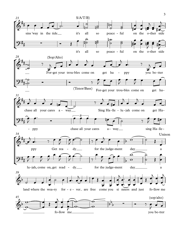